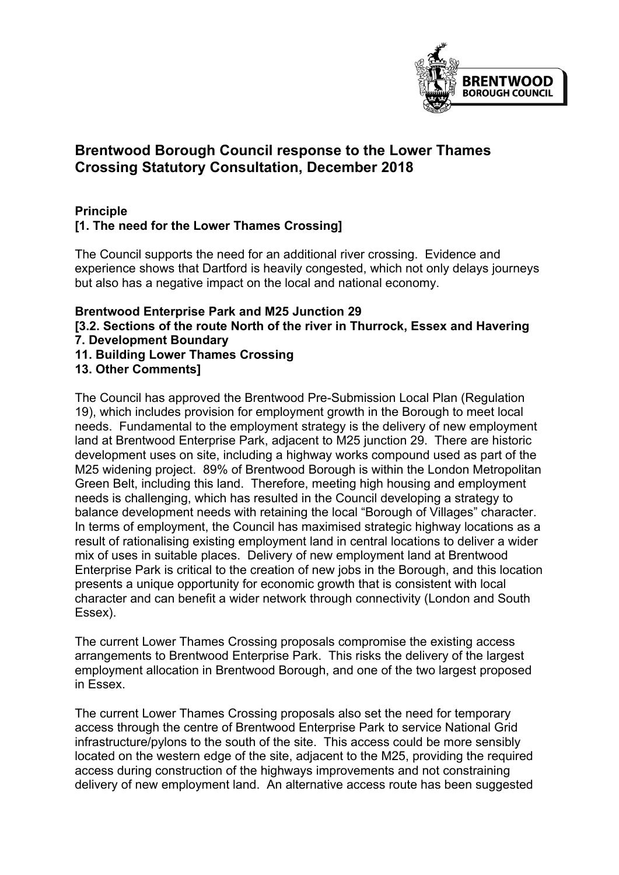

# **Brentwood Borough Council response to the Lower Thames Crossing Statutory Consultation, December 2018**

## **Principle [1. The need for the Lower Thames Crossing]**

The Council supports the need for an additional river crossing. Evidence and experience shows that Dartford is heavily congested, which not only delays journeys but also has a negative impact on the local and national economy.

#### **Brentwood Enterprise Park and M25 Junction 29 [3.2. Sections of the route North of the river in Thurrock, Essex and Havering 7. Development Boundary 11. Building Lower Thames Crossing 13. Other Comments]**

The Council has approved the Brentwood Pre-Submission Local Plan (Regulation 19), which includes provision for employment growth in the Borough to meet local needs. Fundamental to the employment strategy is the delivery of new employment land at Brentwood Enterprise Park, adjacent to M25 junction 29. There are historic development uses on site, including a highway works compound used as part of the M25 widening project. 89% of Brentwood Borough is within the London Metropolitan Green Belt, including this land. Therefore, meeting high housing and employment needs is challenging, which has resulted in the Council developing a strategy to balance development needs with retaining the local "Borough of Villages" character. In terms of employment, the Council has maximised strategic highway locations as a result of rationalising existing employment land in central locations to deliver a wider mix of uses in suitable places. Delivery of new employment land at Brentwood Enterprise Park is critical to the creation of new jobs in the Borough, and this location presents a unique opportunity for economic growth that is consistent with local character and can benefit a wider network through connectivity (London and South Essex).

The current Lower Thames Crossing proposals compromise the existing access arrangements to Brentwood Enterprise Park. This risks the delivery of the largest employment allocation in Brentwood Borough, and one of the two largest proposed in Essex.

The current Lower Thames Crossing proposals also set the need for temporary access through the centre of Brentwood Enterprise Park to service National Grid infrastructure/pylons to the south of the site. This access could be more sensibly located on the western edge of the site, adjacent to the M25, providing the required access during construction of the highways improvements and not constraining delivery of new employment land. An alternative access route has been suggested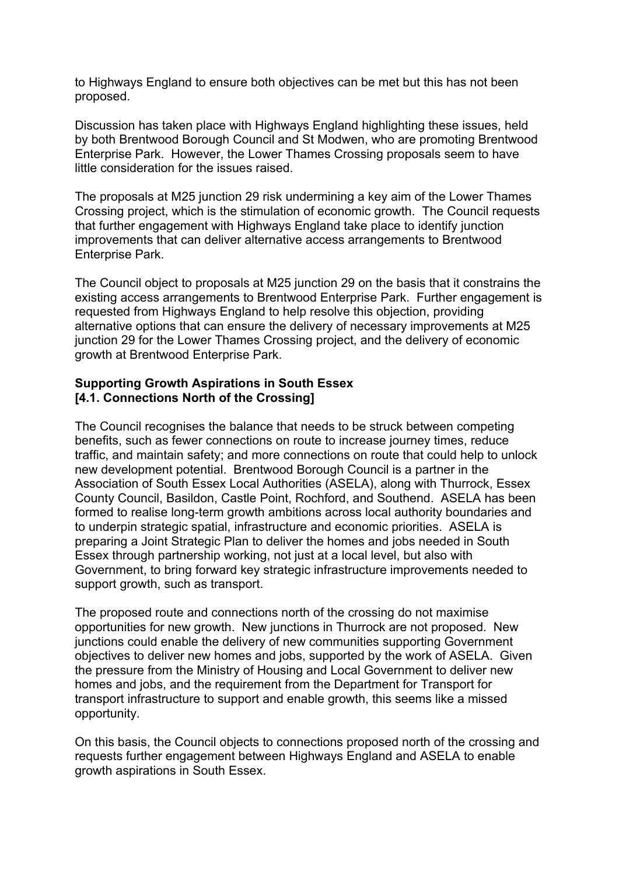to Highways England to ensure both objectives can be met but this has not been proposed.

Discussion has taken place with Highways England highlighting these issues, held by both Brentwood Borough Council and St Modwen, who are promoting Brentwood Enterprise Park. However, the Lower Thames Crossing proposals seem to have little consideration for the issues raised.

The proposals at M25 junction 29 risk undermining a key aim of the Lower Thames Crossing project, which is the stimulation of economic growth. The Council requests that further engagement with Highways England take place to identify junction improvements that can deliver alternative access arrangements to Brentwood Enterprise Park.

The Council object to proposals at M25 junction 29 on the basis that it constrains the existing access arrangements to Brentwood Enterprise Park. Further engagement is requested from Highways England to help resolve this objection, providing alternative options that can ensure the delivery of necessary improvements at M25 junction 29 for the Lower Thames Crossing project, and the delivery of economic growth at Brentwood Enterprise Park.

### **Supporting Growth Aspirations in South Essex [4.1. Connections North of the Crossing]**

The Council recognises the balance that needs to be struck between competing benefits, such as fewer connections on route to increase journey times, reduce traffic, and maintain safety; and more connections on route that could help to unlock new development potential. Brentwood Borough Council is a partner in the Association of South Essex Local Authorities (ASELA), along with Thurrock, Essex County Council, Basildon, Castle Point, Rochford, and Southend. ASELA has been formed to realise long-term growth ambitions across local authority boundaries and to underpin strategic spatial, infrastructure and economic priorities. ASELA is preparing a Joint Strategic Plan to deliver the homes and jobs needed in South Essex through partnership working, not just at a local level, but also with Government, to bring forward key strategic infrastructure improvements needed to support growth, such as transport.

The proposed route and connections north of the crossing do not maximise opportunities for new growth. New junctions in Thurrock are not proposed. New junctions could enable the delivery of new communities supporting Government objectives to deliver new homes and jobs, supported by the work of ASELA. Given the pressure from the Ministry of Housing and Local Government to deliver new homes and jobs, and the requirement from the Department for Transport for transport infrastructure to support and enable growth, this seems like a missed opportunity.

On this basis, the Council objects to connections proposed north of the crossing and requests further engagement between Highways England and ASELA to enable growth aspirations in South Essex.